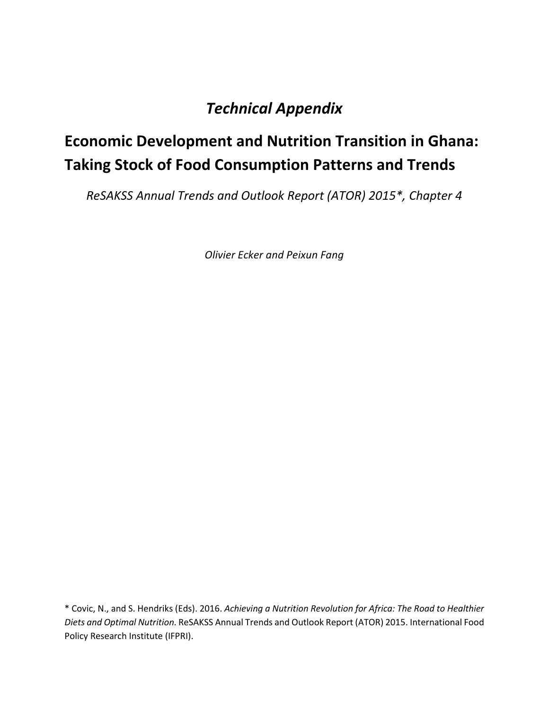## *Technical Appendix*

# **Economic Development and Nutrition Transition in Ghana: Taking Stock of Food Consumption Patterns and Trends**

*ReSAKSS Annual Trends and Outlook Report (ATOR) 2015\*, Chapter 4*

*Olivier Ecker and Peixun Fang*

\* Covic, N., and S. Hendriks (Eds). 2016. *Achieving a Nutrition Revolution for Africa: The Road to Healthier Diets and Optimal Nutrition*. ReSAKSS Annual Trends and Outlook Report (ATOR) 2015. International Food Policy Research Institute (IFPRI).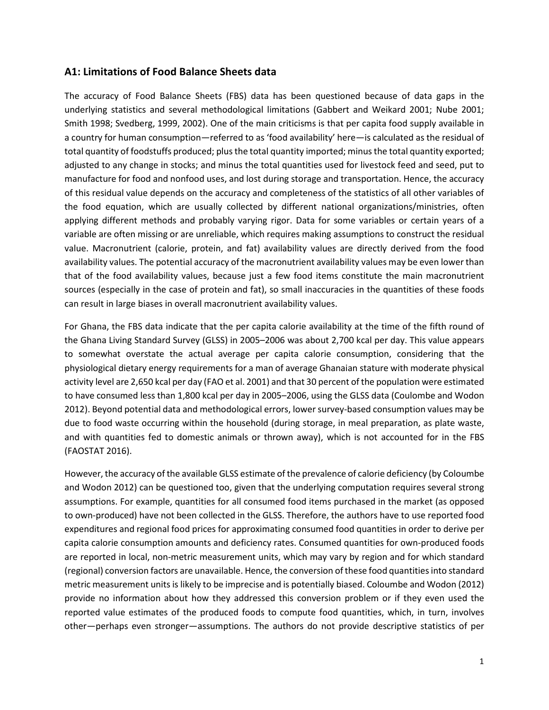#### **A1: Limitations of Food Balance Sheets data**

The accuracy of Food Balance Sheets (FBS) data has been questioned because of data gaps in the underlying statistics and several methodological limitations (Gabbert and Weikard 2001; Nube 2001; Smith 1998; Svedberg, 1999, 2002). One of the main criticisms is that per capita food supply available in a country for human consumption—referred to as 'food availability' here—is calculated as the residual of total quantity of foodstuffs produced; plus the total quantity imported; minus the total quantity exported; adjusted to any change in stocks; and minus the total quantities used for livestock feed and seed, put to manufacture for food and nonfood uses, and lost during storage and transportation. Hence, the accuracy of this residual value depends on the accuracy and completeness of the statistics of all other variables of the food equation, which are usually collected by different national organizations/ministries, often applying different methods and probably varying rigor. Data for some variables or certain years of a variable are often missing or are unreliable, which requires making assumptions to construct the residual value. Macronutrient (calorie, protein, and fat) availability values are directly derived from the food availability values. The potential accuracy of the macronutrient availability values may be even lower than that of the food availability values, because just a few food items constitute the main macronutrient sources (especially in the case of protein and fat), so small inaccuracies in the quantities of these foods can result in large biases in overall macronutrient availability values.

For Ghana, the FBS data indicate that the per capita calorie availability at the time of the fifth round of the Ghana Living Standard Survey (GLSS) in 2005–2006 was about 2,700 kcal per day. This value appears to somewhat overstate the actual average per capita calorie consumption, considering that the physiological dietary energy requirements for a man of average Ghanaian stature with moderate physical activity level are 2,650 kcal per day (FAO et al. 2001) and that 30 percent of the population were estimated to have consumed less than 1,800 kcal per day in 2005–2006, using the GLSS data (Coulombe and Wodon 2012). Beyond potential data and methodological errors, lower survey-based consumption values may be due to food waste occurring within the household (during storage, in meal preparation, as plate waste, and with quantities fed to domestic animals or thrown away), which is not accounted for in the FBS (FAOSTAT 2016).

However, the accuracy of the available GLSS estimate of the prevalence of calorie deficiency (by Coloumbe and Wodon 2012) can be questioned too, given that the underlying computation requires several strong assumptions. For example, quantities for all consumed food items purchased in the market (as opposed to own-produced) have not been collected in the GLSS. Therefore, the authors have to use reported food expenditures and regional food prices for approximating consumed food quantities in order to derive per capita calorie consumption amounts and deficiency rates. Consumed quantities for own-produced foods are reported in local, non-metric measurement units, which may vary by region and for which standard (regional) conversion factors are unavailable. Hence, the conversion of these food quantities into standard metric measurement units is likely to be imprecise and is potentially biased. Coloumbe and Wodon (2012) provide no information about how they addressed this conversion problem or if they even used the reported value estimates of the produced foods to compute food quantities, which, in turn, involves other—perhaps even stronger—assumptions. The authors do not provide descriptive statistics of per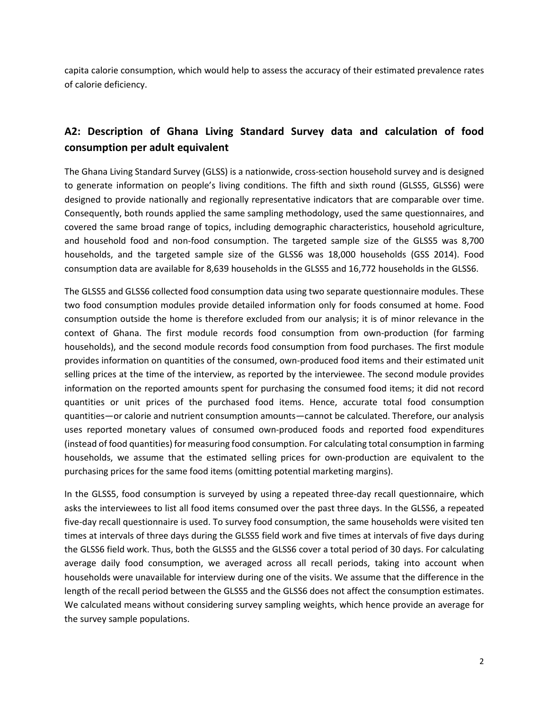capita calorie consumption, which would help to assess the accuracy of their estimated prevalence rates of calorie deficiency.

## **A2: Description of Ghana Living Standard Survey data and calculation of food consumption per adult equivalent**

The Ghana Living Standard Survey (GLSS) is a nationwide, cross-section household survey and is designed to generate information on people's living conditions. The fifth and sixth round (GLSS5, GLSS6) were designed to provide nationally and regionally representative indicators that are comparable over time. Consequently, both rounds applied the same sampling methodology, used the same questionnaires, and covered the same broad range of topics, including demographic characteristics, household agriculture, and household food and non-food consumption. The targeted sample size of the GLSS5 was 8,700 households, and the targeted sample size of the GLSS6 was 18,000 households (GSS 2014). Food consumption data are available for 8,639 households in the GLSS5 and 16,772 households in the GLSS6.

The GLSS5 and GLSS6 collected food consumption data using two separate questionnaire modules. These two food consumption modules provide detailed information only for foods consumed at home. Food consumption outside the home is therefore excluded from our analysis; it is of minor relevance in the context of Ghana. The first module records food consumption from own-production (for farming households), and the second module records food consumption from food purchases. The first module provides information on quantities of the consumed, own-produced food items and their estimated unit selling prices at the time of the interview, as reported by the interviewee. The second module provides information on the reported amounts spent for purchasing the consumed food items; it did not record quantities or unit prices of the purchased food items. Hence, accurate total food consumption quantities—or calorie and nutrient consumption amounts—cannot be calculated. Therefore, our analysis uses reported monetary values of consumed own-produced foods and reported food expenditures (instead of food quantities) for measuring food consumption. For calculating total consumption in farming households, we assume that the estimated selling prices for own-production are equivalent to the purchasing prices for the same food items (omitting potential marketing margins).

In the GLSS5, food consumption is surveyed by using a repeated three-day recall questionnaire, which asks the interviewees to list all food items consumed over the past three days. In the GLSS6, a repeated five-day recall questionnaire is used. To survey food consumption, the same households were visited ten times at intervals of three days during the GLSS5 field work and five times at intervals of five days during the GLSS6 field work. Thus, both the GLSS5 and the GLSS6 cover a total period of 30 days. For calculating average daily food consumption, we averaged across all recall periods, taking into account when households were unavailable for interview during one of the visits. We assume that the difference in the length of the recall period between the GLSS5 and the GLSS6 does not affect the consumption estimates. We calculated means without considering survey sampling weights, which hence provide an average for the survey sample populations.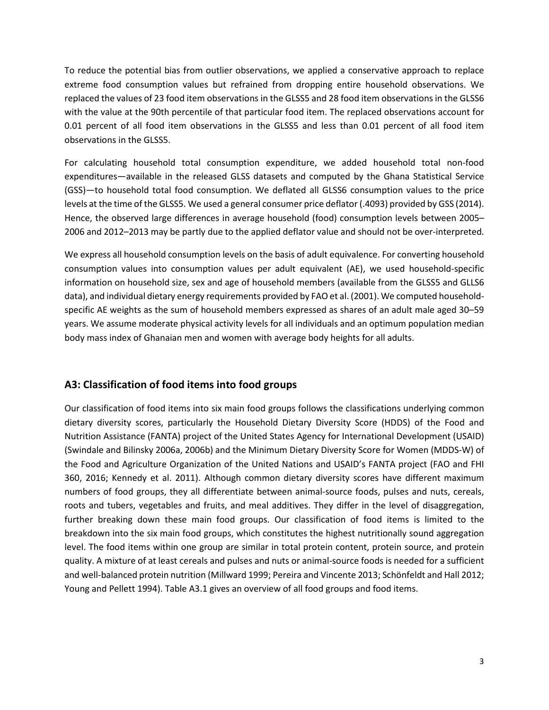To reduce the potential bias from outlier observations, we applied a conservative approach to replace extreme food consumption values but refrained from dropping entire household observations. We replaced the values of 23 food item observations in the GLSS5 and 28 food item observations in the GLSS6 with the value at the 90th percentile of that particular food item. The replaced observations account for 0.01 percent of all food item observations in the GLSS5 and less than 0.01 percent of all food item observations in the GLSS5.

For calculating household total consumption expenditure, we added household total non-food expenditures—available in the released GLSS datasets and computed by the Ghana Statistical Service (GSS)—to household total food consumption. We deflated all GLSS6 consumption values to the price levels at the time of the GLSS5. We used a general consumer price deflator (.4093) provided by GSS (2014). Hence, the observed large differences in average household (food) consumption levels between 2005– 2006 and 2012–2013 may be partly due to the applied deflator value and should not be over-interpreted.

We express all household consumption levels on the basis of adult equivalence. For converting household consumption values into consumption values per adult equivalent (AE), we used household-specific information on household size, sex and age of household members (available from the GLSS5 and GLLS6 data), and individual dietary energy requirements provided by FAO et al. (2001). We computed householdspecific AE weights as the sum of household members expressed as shares of an adult male aged 30–59 years. We assume moderate physical activity levels for all individuals and an optimum population median body mass index of Ghanaian men and women with average body heights for all adults.

### **A3: Classification of food items into food groups**

Our classification of food items into six main food groups follows the classifications underlying common dietary diversity scores, particularly the Household Dietary Diversity Score (HDDS) of the Food and Nutrition Assistance (FANTA) project of the United States Agency for International Development (USAID) (Swindale and Bilinsky 2006a, 2006b) and the Minimum Dietary Diversity Score for Women (MDDS-W) of the Food and Agriculture Organization of the United Nations and USAID's FANTA project (FAO and FHI 360, 2016; Kennedy et al. 2011). Although common dietary diversity scores have different maximum numbers of food groups, they all differentiate between animal-source foods, pulses and nuts, cereals, roots and tubers, vegetables and fruits, and meal additives. They differ in the level of disaggregation, further breaking down these main food groups. Our classification of food items is limited to the breakdown into the six main food groups, which constitutes the highest nutritionally sound aggregation level. The food items within one group are similar in total protein content, protein source, and protein quality. A mixture of at least cereals and pulses and nuts or animal-source foods is needed for a sufficient and well-balanced protein nutrition (Millward 1999; Pereira and Vincente 2013; Schönfeldt and Hall 2012; Young and Pellett 1994). Table A3.1 gives an overview of all food groups and food items.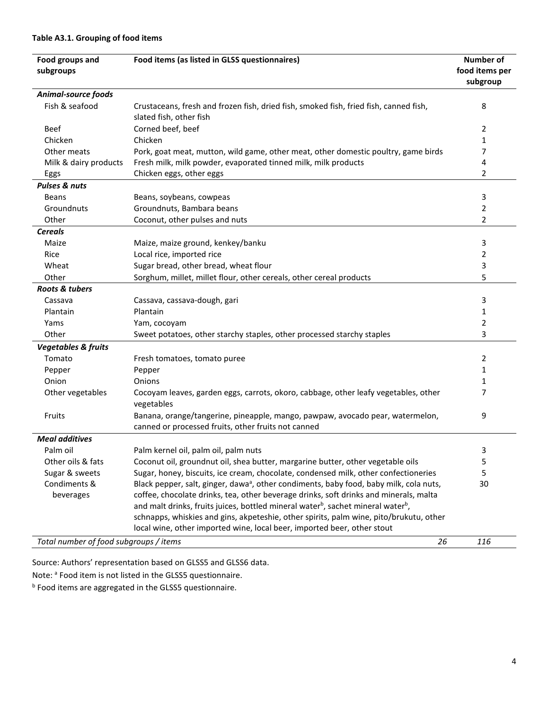| Food groups and<br>subgroups                 | Food items (as listed in GLSS questionnaires)                                                                                        | <b>Number of</b><br>food items per<br>subgroup |  |  |
|----------------------------------------------|--------------------------------------------------------------------------------------------------------------------------------------|------------------------------------------------|--|--|
| Animal-source foods                          |                                                                                                                                      |                                                |  |  |
| Fish & seafood                               | Crustaceans, fresh and frozen fish, dried fish, smoked fish, fried fish, canned fish,                                                | 8                                              |  |  |
|                                              | slated fish, other fish                                                                                                              |                                                |  |  |
| <b>Beef</b>                                  | Corned beef, beef                                                                                                                    | 2                                              |  |  |
| Chicken                                      | Chicken                                                                                                                              | 1                                              |  |  |
| Other meats                                  | Pork, goat meat, mutton, wild game, other meat, other domestic poultry, game birds                                                   | 7                                              |  |  |
| Milk & dairy products                        | Fresh milk, milk powder, evaporated tinned milk, milk products                                                                       | 4                                              |  |  |
| Eggs                                         | Chicken eggs, other eggs                                                                                                             | 2                                              |  |  |
| <b>Pulses &amp; nuts</b>                     |                                                                                                                                      |                                                |  |  |
| <b>Beans</b>                                 | Beans, soybeans, cowpeas                                                                                                             | 3                                              |  |  |
| Groundnuts                                   | Groundnuts, Bambara beans                                                                                                            | 2                                              |  |  |
| Other                                        | Coconut, other pulses and nuts                                                                                                       | 2                                              |  |  |
| <b>Cereals</b>                               |                                                                                                                                      |                                                |  |  |
| Maize                                        | Maize, maize ground, kenkey/banku                                                                                                    | 3                                              |  |  |
| Rice                                         | Local rice, imported rice                                                                                                            | 2                                              |  |  |
| Wheat                                        | Sugar bread, other bread, wheat flour                                                                                                | 3                                              |  |  |
| Other                                        | Sorghum, millet, millet flour, other cereals, other cereal products                                                                  | 5                                              |  |  |
| Roots & tubers                               |                                                                                                                                      |                                                |  |  |
| Cassava                                      | Cassava, cassava-dough, gari                                                                                                         | 3                                              |  |  |
| Plantain                                     | Plantain                                                                                                                             | 1                                              |  |  |
| Yams                                         | Yam, cocoyam                                                                                                                         | 2                                              |  |  |
| Other                                        | Sweet potatoes, other starchy staples, other processed starchy staples                                                               | 3                                              |  |  |
| <b>Vegetables &amp; fruits</b>               |                                                                                                                                      |                                                |  |  |
| Tomato                                       | Fresh tomatoes, tomato puree                                                                                                         | 2                                              |  |  |
| Pepper                                       | Pepper                                                                                                                               | 1                                              |  |  |
| Onion                                        | Onions                                                                                                                               | 1                                              |  |  |
| Other vegetables                             | Cocoyam leaves, garden eggs, carrots, okoro, cabbage, other leafy vegetables, other<br>vegetables                                    | 7                                              |  |  |
| Fruits                                       | Banana, orange/tangerine, pineapple, mango, pawpaw, avocado pear, watermelon,<br>canned or processed fruits, other fruits not canned | 9                                              |  |  |
| <b>Meal additives</b>                        |                                                                                                                                      |                                                |  |  |
| Palm oil                                     | Palm kernel oil, palm oil, palm nuts                                                                                                 | 3                                              |  |  |
| Other oils & fats                            | Coconut oil, groundnut oil, shea butter, margarine butter, other vegetable oils                                                      | 5                                              |  |  |
| Sugar & sweets                               | Sugar, honey, biscuits, ice cream, chocolate, condensed milk, other confectioneries                                                  | 5                                              |  |  |
| Condiments &                                 | Black pepper, salt, ginger, dawa <sup>a</sup> , other condiments, baby food, baby milk, cola nuts,                                   | 30                                             |  |  |
| beverages                                    | coffee, chocolate drinks, tea, other beverage drinks, soft drinks and minerals, malta                                                |                                                |  |  |
|                                              | and malt drinks, fruits juices, bottled mineral water <sup>b</sup> , sachet mineral water <sup>b</sup> ,                             |                                                |  |  |
|                                              | schnapps, whiskies and gins, akpeteshie, other spirits, palm wine, pito/brukutu, other                                               |                                                |  |  |
|                                              | local wine, other imported wine, local beer, imported beer, other stout                                                              |                                                |  |  |
| Total number of food subgroups / items<br>26 |                                                                                                                                      |                                                |  |  |

Source: Authors' representation based on GLSS5 and GLSS6 data.

Note: <sup>a</sup> Food item is not listed in the GLSS5 questionnaire.

**b** Food items are aggregated in the GLSS5 questionnaire.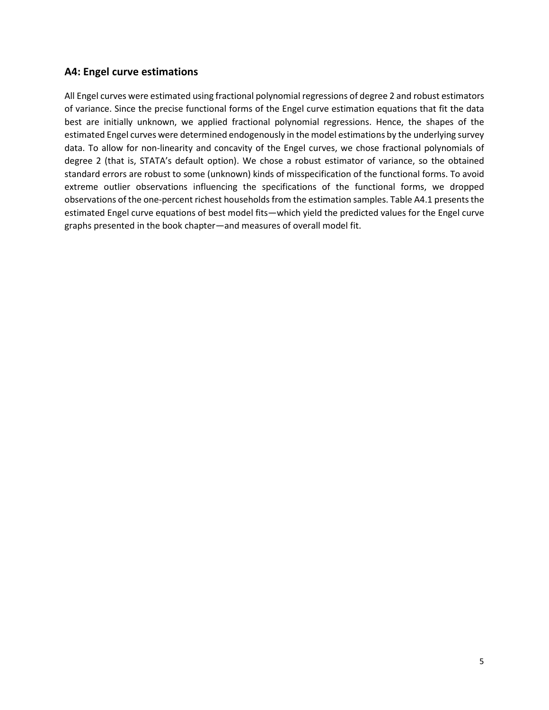### **A4: Engel curve estimations**

All Engel curves were estimated using fractional polynomial regressions of degree 2 and robust estimators of variance. Since the precise functional forms of the Engel curve estimation equations that fit the data best are initially unknown, we applied fractional polynomial regressions. Hence, the shapes of the estimated Engel curves were determined endogenously in the model estimations by the underlying survey data. To allow for non-linearity and concavity of the Engel curves, we chose fractional polynomials of degree 2 (that is, STATA's default option). We chose a robust estimator of variance, so the obtained standard errors are robust to some (unknown) kinds of misspecification of the functional forms. To avoid extreme outlier observations influencing the specifications of the functional forms, we dropped observations of the one-percent richest households from the estimation samples. Table A4.1 presents the estimated Engel curve equations of best model fits—which yield the predicted values for the Engel curve graphs presented in the book chapter—and measures of overall model fit.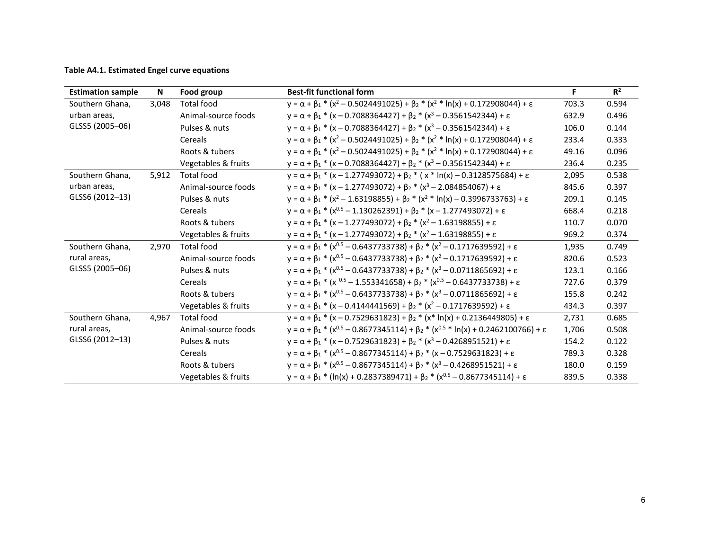#### **Table A4.1. Estimated Engel curve equations**

| <b>Estimation sample</b>                           | N     | Food group          | <b>Best-fit functional form</b>                                                                                 | F.    | $R^2$ |
|----------------------------------------------------|-------|---------------------|-----------------------------------------------------------------------------------------------------------------|-------|-------|
| Southern Ghana,<br>urban areas,<br>GLSS5 (2005-06) | 3,048 | <b>Total food</b>   | $y = \alpha + \beta_1 * (x^2 - 0.5024491025) + \beta_2 * (x^2 * ln(x) + 0.172908044) + \epsilon$                | 703.3 | 0.594 |
|                                                    |       | Animal-source foods | $y = \alpha + \beta_1 * (x - 0.7088364427) + \beta_2 * (x^3 - 0.3561542344) + \epsilon$                         | 632.9 | 0.496 |
|                                                    |       | Pulses & nuts       | $y = \alpha + \beta_1 * (x - 0.7088364427) + \beta_2 * (x^3 - 0.3561542344) + \epsilon$                         | 106.0 | 0.144 |
|                                                    |       | Cereals             | $y = \alpha + \beta_1 * (x^2 - 0.5024491025) + \beta_2 * (x^2 * ln(x) + 0.172908044) + \epsilon$                | 233.4 | 0.333 |
|                                                    |       | Roots & tubers      | $y = \alpha + \beta_1 * (x^2 - 0.5024491025) + \beta_2 * (x^2 * ln(x) + 0.172908044) + \epsilon$                | 49.16 | 0.096 |
|                                                    |       | Vegetables & fruits | $y = \alpha + \beta_1 * (x - 0.7088364427) + \beta_2 * (x^3 - 0.3561542344) + \epsilon$                         | 236.4 | 0.235 |
| Southern Ghana,                                    | 5,912 | <b>Total food</b>   | $y = \alpha + \beta_1 * (x - 1.277493072) + \beta_2 * (x * ln(x) - 0.3128575684) + \epsilon$                    | 2,095 | 0.538 |
| urban areas,                                       |       | Animal-source foods | $y = \alpha + \beta_1 * (x - 1.277493072) + \beta_2 * (x^3 - 2.084854067) + \epsilon$                           | 845.6 | 0.397 |
| GLSS6 (2012-13)                                    |       | Pulses & nuts       | $y = \alpha + \beta_1 * (x^2 - 1.63198855) + \beta_2 * (x^2 * \ln(x) - 0.3996733763) + \epsilon$                | 209.1 | 0.145 |
|                                                    |       | Cereals             | $y = \alpha + \beta_1 * (x^{0.5} - 1.130262391) + \beta_2 * (x - 1.277493072) + \epsilon$                       | 668.4 | 0.218 |
|                                                    |       | Roots & tubers      | $y = \alpha + \beta_1 * (x - 1.277493072) + \beta_2 * (x^2 - 1.63198855) + \epsilon$                            | 110.7 | 0.070 |
|                                                    |       | Vegetables & fruits | $y = \alpha + \beta_1 * (x - 1.277493072) + \beta_2 * (x^2 - 1.63198855) + \epsilon$                            | 969.2 | 0.374 |
| Southern Ghana,                                    | 2,970 | <b>Total food</b>   | $y = \alpha + \beta_1 * (x^{0.5} - 0.6437733738) + \beta_2 * (x^2 - 0.1717639592) + \epsilon$                   | 1,935 | 0.749 |
| rural areas,                                       |       | Animal-source foods | $y = \alpha + \beta_1 * (x^{0.5} - 0.6437733738) + \beta_2 * (x^2 - 0.1717639592) + \epsilon$                   | 820.6 | 0.523 |
| GLSS5 (2005-06)                                    |       | Pulses & nuts       | $y = \alpha + \beta_1 * (x^{0.5} - 0.6437733738) + \beta_2 * (x^3 - 0.0711865692) + \epsilon$                   | 123.1 | 0.166 |
|                                                    |       | Cereals             | $y = \alpha + \beta_1 * (x^{-0.5} - 1.553341658) + \beta_2 * (x^{0.5} - 0.6437733738) + \epsilon$               | 727.6 | 0.379 |
|                                                    |       | Roots & tubers      | $y = \alpha + \beta_1 * (x^{0.5} - 0.6437733738) + \beta_2 * (x^3 - 0.0711865692) + \epsilon$                   | 155.8 | 0.242 |
|                                                    |       | Vegetables & fruits | $y = \alpha + \beta_1 * (x - 0.4144441569) + \beta_2 * (x^2 - 0.1717639592) + \epsilon$                         | 434.3 | 0.397 |
| Southern Ghana,<br>rural areas,<br>GLSS6 (2012-13) | 4,967 | <b>Total food</b>   | $y = \alpha + \beta_1 * (x - 0.7529631823) + \beta_2 * (x * ln(x) + 0.2136449805) + \epsilon$                   | 2,731 | 0.685 |
|                                                    |       | Animal-source foods | $y = \alpha + \beta_1 * (x^{0.5} - 0.8677345114) + \beta_2 * (x^{0.5} * ln(x) + 0.2462100766) + \epsilon$       | 1,706 | 0.508 |
|                                                    |       | Pulses & nuts       | $y = \alpha + \beta_1 * (x - 0.7529631823) + \beta_2 * (x^3 - 0.4268951521) + \epsilon$                         | 154.2 | 0.122 |
|                                                    |       | Cereals             | $y = \alpha + \beta_1 * (x^{0.5} - 0.8677345114) + \beta_2 * (x - 0.7529631823) + \epsilon$                     | 789.3 | 0.328 |
|                                                    |       | Roots & tubers      | $y = \alpha + \beta_1 * (x^{0.5} - 0.8677345114) + \beta_2 * (x^3 - 0.4268951521) + \epsilon$                   | 180.0 | 0.159 |
|                                                    |       | Vegetables & fruits | $y = \alpha + \beta_1$ * (ln(x) + 0.2837389471) + $\beta_2$ * (x <sup>0.5</sup> – 0.8677345114) + $\varepsilon$ | 839.5 | 0.338 |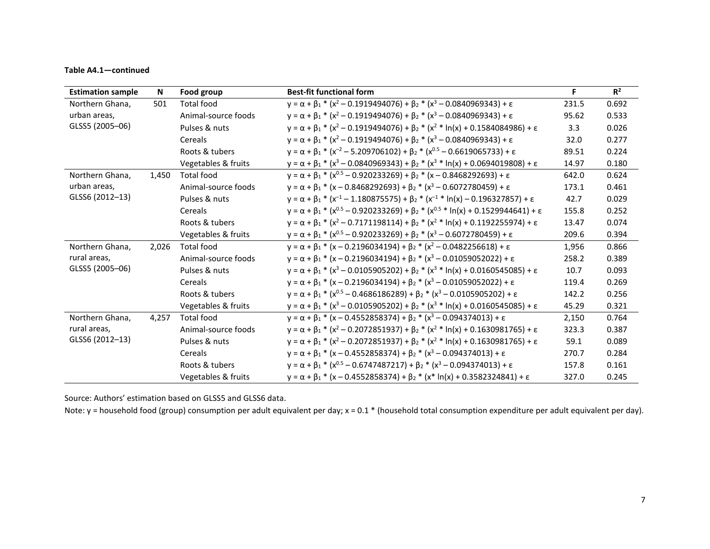#### **Table A4.1—continued**

| <b>Estimation sample</b>                           | N     | Food group          | <b>Best-fit functional form</b>                                                                          | F.    | $R^2$ |
|----------------------------------------------------|-------|---------------------|----------------------------------------------------------------------------------------------------------|-------|-------|
| Northern Ghana,<br>urban areas,<br>GLSS5 (2005-06) | 501   | <b>Total food</b>   | $y = \alpha + \beta_1 * (x^2 - 0.1919494076) + \beta_2 * (x^3 - 0.0840969343) + \epsilon$                | 231.5 | 0.692 |
|                                                    |       | Animal-source foods | $y = \alpha + \beta_1 * (x^2 - 0.1919494076) + \beta_2 * (x^3 - 0.0840969343) + \epsilon$                | 95.62 | 0.533 |
|                                                    |       | Pulses & nuts       | $y = \alpha + \beta_1 * (x^2 - 0.1919494076) + \beta_2 * (x^2 * \ln(x) + 0.1584084986) + \epsilon$       | 3.3   | 0.026 |
|                                                    |       | Cereals             | $y = \alpha + \beta_1 * (x^2 - 0.1919494076) + \beta_2 * (x^3 - 0.0840969343) + \epsilon$                | 32.0  | 0.277 |
|                                                    |       | Roots & tubers      | $y = \alpha + \beta_1 * (x^{-2} - 5.209706102) + \beta_2 * (x^{0.5} - 0.6619065733) + \epsilon$          | 89.51 | 0.224 |
|                                                    |       | Vegetables & fruits | $y = \alpha + \beta_1 * (x^3 - 0.0840969343) + \beta_2 * (x^3 * ln(x) + 0.0694019808) + \epsilon$        | 14.97 | 0.180 |
| Northern Ghana,                                    | 1,450 | <b>Total food</b>   | $y = \alpha + \beta_1 * (x^{0.5} - 0.920233269) + \beta_2 * (x - 0.8468292693) + \epsilon$               | 642.0 | 0.624 |
| urban areas,                                       |       | Animal-source foods | $y = \alpha + \beta_1 * (x - 0.8468292693) + \beta_2 * (x^3 - 0.6072780459) + \epsilon$                  | 173.1 | 0.461 |
| GLSS6 (2012-13)                                    |       | Pulses & nuts       | $y = \alpha + \beta_1 * (x^{-1} - 1.180875575) + \beta_2 * (x^{-1} * \ln(x) - 0.196327857) + \epsilon$   | 42.7  | 0.029 |
|                                                    |       | Cereals             | $y = \alpha + \beta_1 * (x^{0.5} - 0.920233269) + \beta_2 * (x^{0.5} * ln(x) + 0.1529944641) + \epsilon$ | 155.8 | 0.252 |
|                                                    |       | Roots & tubers      | $y = \alpha + \beta_1 * (x^2 - 0.7171198114) + \beta_2 * (x^2 * \ln(x) + 0.1192255974) + \epsilon$       | 13.47 | 0.074 |
|                                                    |       | Vegetables & fruits | $y = \alpha + \beta_1 * (x^{0.5} - 0.920233269) + \beta_2 * (x^3 - 0.6072780459) + \epsilon$             | 209.6 | 0.394 |
| Northern Ghana,                                    | 2,026 | <b>Total food</b>   | $y = \alpha + \beta_1 * (x - 0.2196034194) + \beta_2 * (x^2 - 0.0482256618) + \epsilon$                  | 1,956 | 0.866 |
| rural areas,                                       |       | Animal-source foods | $y = \alpha + \beta_1 * (x - 0.2196034194) + \beta_2 * (x^3 - 0.01059052022) + \epsilon$                 | 258.2 | 0.389 |
| GLSS5 (2005-06)                                    |       | Pulses & nuts       | $y = \alpha + \beta_1 * (x^3 - 0.0105905202) + \beta_2 * (x^3 * \ln(x) + 0.0160545085) + \epsilon$       | 10.7  | 0.093 |
|                                                    |       | Cereals             | $y = \alpha + \beta_1 * (x - 0.2196034194) + \beta_2 * (x^3 - 0.01059052022) + \epsilon$                 | 119.4 | 0.269 |
|                                                    |       | Roots & tubers      | $y = \alpha + \beta_1 * (x^{0.5} - 0.4686186289) + \beta_2 * (x^3 - 0.0105905202) + \epsilon$            | 142.2 | 0.256 |
|                                                    |       | Vegetables & fruits | $y = \alpha + \beta_1 * (x^3 - 0.0105905202) + \beta_2 * (x^3 * ln(x) + 0.0160545085) + \epsilon$        | 45.29 | 0.321 |
| Northern Ghana,<br>rural areas,<br>GLSS6 (2012-13) | 4,257 | <b>Total food</b>   | $y = \alpha + \beta_1 * (x - 0.4552858374) + \beta_2 * (x^3 - 0.094374013) + \epsilon$                   | 2,150 | 0.764 |
|                                                    |       | Animal-source foods | $y = \alpha + \beta_1 * (x^2 - 0.2072851937) + \beta_2 * (x^2 * \ln(x) + 0.1630981765) + \epsilon$       | 323.3 | 0.387 |
|                                                    |       | Pulses & nuts       | $y = \alpha + \beta_1 * (x^2 - 0.2072851937) + \beta_2 * (x^2 * \ln(x) + 0.1630981765) + \epsilon$       | 59.1  | 0.089 |
|                                                    |       | Cereals             | $y = \alpha + \beta_1 * (x - 0.4552858374) + \beta_2 * (x^3 - 0.094374013) + \epsilon$                   | 270.7 | 0.284 |
|                                                    |       | Roots & tubers      | $y = \alpha + \beta_1 * (x^{0.5} - 0.6747487217) + \beta_2 * (x^3 - 0.094374013) + \epsilon$             | 157.8 | 0.161 |
|                                                    |       | Vegetables & fruits | $y = \alpha + \beta_1 * (x - 0.4552858374) + \beta_2 * (x * \ln(x) + 0.3582324841) + \epsilon$           | 327.0 | 0.245 |

Source: Authors' estimation based on GLSS5 and GLSS6 data.

Note: y = household food (group) consumption per adult equivalent per day; x = 0.1 \* (household total consumption expenditure per adult equivalent per day).